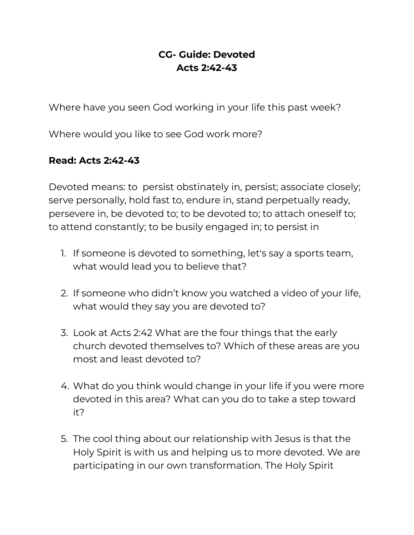## **CG- Guide: Devoted Acts 2:42-43**

Where have you seen God working in your life this past week?

Where would you like to see God work more?

## **Read: Acts 2:42-43**

Devoted means: to persist obstinately in, persist; associate closely; serve personally, hold fast to, endure in, stand perpetually ready, persevere in, be devoted to; to be devoted to; to attach oneself to; to attend constantly; to be busily engaged in; to persist in

- 1. If someone is devoted to something, let's say a sports team, what would lead you to believe that?
- 2. If someone who didn't know you watched a video of your life, what would they say you are devoted to?
- 3. Look at Acts 2:42 What are the four things that the early church devoted themselves to? Which of these areas are you most and least devoted to?
- 4. What do you think would change in your life if you were more devoted in this area? What can you do to take a step toward it?
- 5. The cool thing about our relationship with Jesus is that the Holy Spirit is with us and helping us to more devoted. We are participating in our own transformation. The Holy Spirit